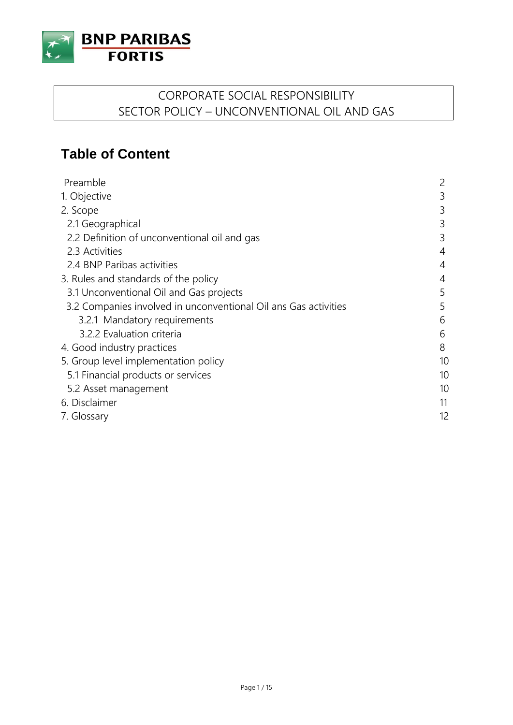

## CORPORATE SOCIAL RESPONSIBILITY SECTOR POLICY – UNCONVENTIONAL OIL AND GAS

# **Table of Content**

| Preamble                                                        | 2  |
|-----------------------------------------------------------------|----|
| 1. Objective                                                    | 3  |
| 2. Scope                                                        | 3  |
| 2.1 Geographical                                                | 3  |
| 2.2 Definition of unconventional oil and gas                    | 3  |
| 2.3 Activities                                                  | 4  |
| 2.4 BNP Paribas activities                                      | 4  |
| 3. Rules and standards of the policy                            | 4  |
| 3.1 Unconventional Oil and Gas projects                         | 5  |
| 3.2 Companies involved in unconventional Oil ans Gas activities | 5  |
| 3.2.1 Mandatory requirements                                    | 6  |
| 3.2.2 Evaluation criteria                                       | 6  |
| 4. Good industry practices                                      | 8  |
| 5. Group level implementation policy                            | 10 |
| 5.1 Financial products or services                              | 10 |
| 5.2 Asset management                                            | 10 |
| 6. Disclaimer                                                   | 11 |
| 7. Glossary                                                     | 12 |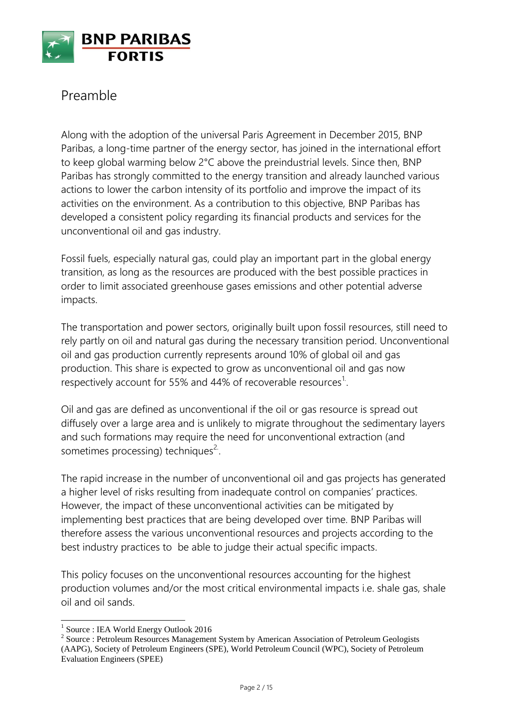

## Preamble

Along with the adoption of the universal Paris Agreement in December 2015, BNP Paribas, a long-time partner of the energy sector, has joined in the international effort to keep global warming below 2°C above the preindustrial levels. Since then, BNP Paribas has strongly committed to the energy transition and already launched various actions to lower the carbon intensity of its portfolio and improve the impact of its activities on the environment. As a contribution to this objective, BNP Paribas has developed a consistent policy regarding its financial products and services for the unconventional oil and gas industry.

Fossil fuels, especially natural gas, could play an important part in the global energy transition, as long as the resources are produced with the best possible practices in order to limit associated greenhouse gases emissions and other potential adverse impacts.

The transportation and power sectors, originally built upon fossil resources, still need to rely partly on oil and natural gas during the necessary transition period. Unconventional oil and gas production currently represents around 10% of global oil and gas production. This share is expected to grow as unconventional oil and gas now respectively account for 55% and 44% of recoverable resources<sup>1</sup>.

Oil and gas are defined as unconventional if the oil or gas resource is spread out diffusely over a large area and is unlikely to migrate throughout the sedimentary layers and such formations may require the need for unconventional extraction (and sometimes processing) techniques<sup>2.</sup>.

The rapid increase in the number of unconventional oil and gas projects has generated a higher level of risks resulting from inadequate control on companies' practices. However, the impact of these unconventional activities can be mitigated by implementing best practices that are being developed over time. BNP Paribas will therefore assess the various unconventional resources and projects according to the best industry practices to be able to judge their actual specific impacts.

This policy focuses on the unconventional resources accounting for the highest production volumes and/or the most critical environmental impacts i.e. shale gas, shale oil and oil sands.

 1 Source : IEA World Energy Outlook 2016

<sup>&</sup>lt;sup>2</sup> Source : Petroleum Resources Management System by American Association of Petroleum Geologists (AAPG), Society of Petroleum Engineers (SPE), World Petroleum Council (WPC), Society of Petroleum Evaluation Engineers (SPEE)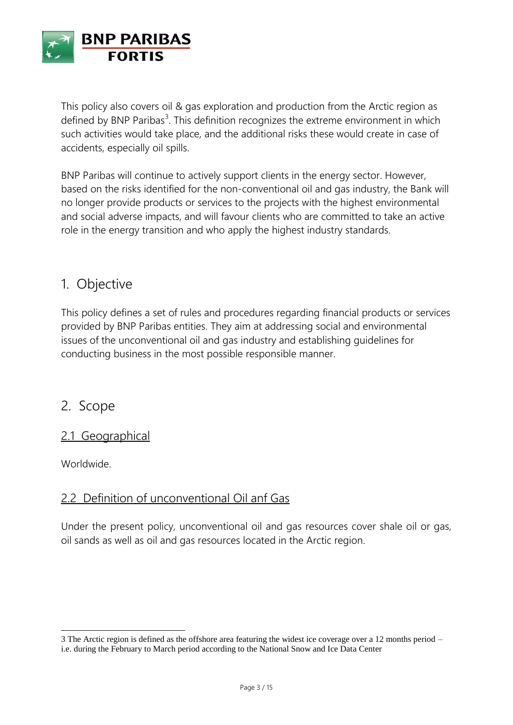

This policy also covers oil & gas exploration and production from the Arctic region as defined by BNP Paribas<sup>3</sup>. This definition recognizes the extreme environment in which such activities would take place, and the additional risks these would create in case of accidents, especially oil spills.

BNP Paribas will continue to actively support clients in the energy sector. However, based on the risks identified for the non-conventional oil and gas industry, the Bank will no longer provide products or services to the projects with the highest environmental and social adverse impacts, and will favour clients who are committed to take an active role in the energy transition and who apply the highest industry standards.

## 1. Objective

This policy defines a set of rules and procedures regarding financial products or services provided by BNP Paribas entities. They aim at addressing social and environmental issues of the unconventional oil and gas industry and establishing guidelines for conducting business in the most possible responsible manner.

### 2. Scope

### 2.1 Geographical

Worldwide.

 $\overline{a}$ 

### 2.2 Definition of unconventional Oil anf Gas

Under the present policy, unconventional oil and gas resources cover shale oil or gas, oil sands as well as oil and gas resources located in the Arctic region.

<sup>3</sup> The Arctic region is defined as the offshore area featuring the widest ice coverage over a 12 months period – i.e. during the February to March period according to the National Snow and Ice Data Center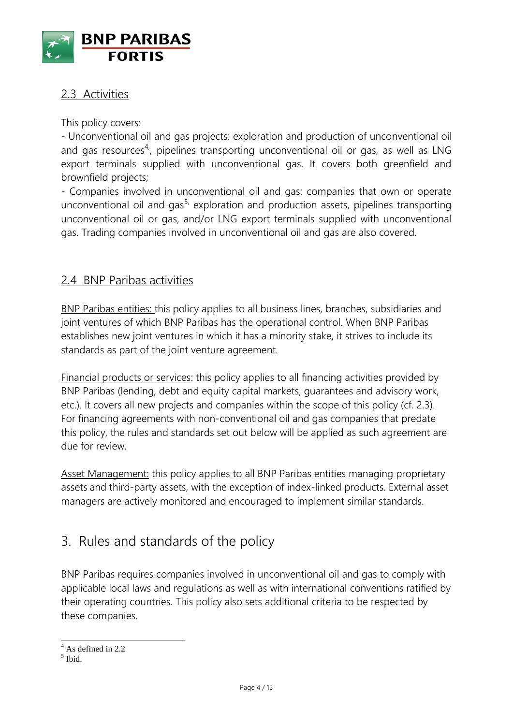

### 2.3 Activities

This policy covers:

- Unconventional oil and gas projects: exploration and production of unconventional oil and gas resources<sup>4</sup>', pipelines transporting unconventional oil or gas, as well as LNG export terminals supplied with unconventional gas. It covers both greenfield and brownfield projects;

- Companies involved in unconventional oil and gas: companies that own or operate unconventional oil and gas<sup>5,</sup> exploration and production assets, pipelines transporting unconventional oil or gas, and/or LNG export terminals supplied with unconventional gas. Trading companies involved in unconventional oil and gas are also covered.

### 2.4 BNP Paribas activities

BNP Paribas entities: this policy applies to all business lines, branches, subsidiaries and joint ventures of which BNP Paribas has the operational control. When BNP Paribas establishes new joint ventures in which it has a minority stake, it strives to include its standards as part of the joint venture agreement.

Financial products or services: this policy applies to all financing activities provided by BNP Paribas (lending, debt and equity capital markets, guarantees and advisory work, etc.). It covers all new projects and companies within the scope of this policy (cf. 2.3). For financing agreements with non-conventional oil and gas companies that predate this policy, the rules and standards set out below will be applied as such agreement are due for review.

Asset Management: this policy applies to all BNP Paribas entities managing proprietary assets and third-party assets, with the exception of index-linked products. External asset managers are actively monitored and encouraged to implement similar standards.

## 3. Rules and standards of the policy

BNP Paribas requires companies involved in unconventional oil and gas to comply with applicable local laws and regulations as well as with international conventions ratified by their operating countries. This policy also sets additional criteria to be respected by these companies.

 $\overline{\phantom{a}}$ 

 $4$  As defined in 2.2

<sup>5</sup> Ibid.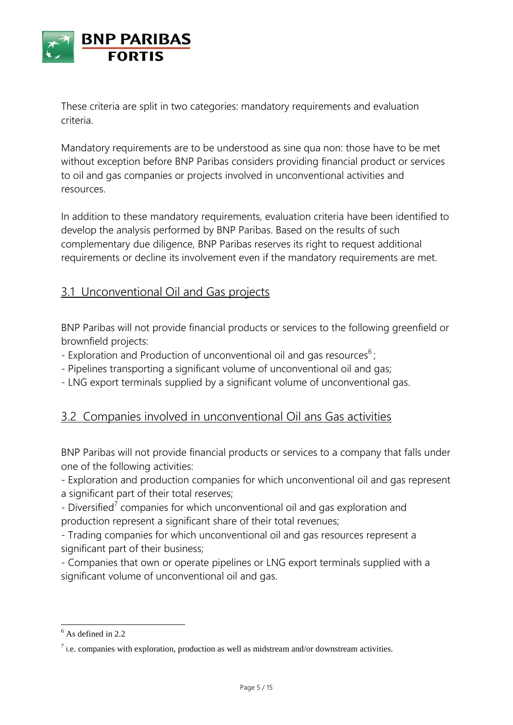

These criteria are split in two categories: mandatory requirements and evaluation criteria.

Mandatory requirements are to be understood as sine qua non: those have to be met without exception before BNP Paribas considers providing financial product or services to oil and gas companies or projects involved in unconventional activities and resources.

In addition to these mandatory requirements, evaluation criteria have been identified to develop the analysis performed by BNP Paribas. Based on the results of such complementary due diligence, BNP Paribas reserves its right to request additional requirements or decline its involvement even if the mandatory requirements are met.

## 3.1 Unconventional Oil and Gas projects

BNP Paribas will not provide financial products or services to the following greenfield or brownfield projects:

- Exploration and Production of unconventional oil and gas resources $6$ ;
- Pipelines transporting a significant volume of unconventional oil and gas;
- LNG export terminals supplied by a significant volume of unconventional gas.

### 3.2 Companies involved in unconventional Oil ans Gas activities

BNP Paribas will not provide financial products or services to a company that falls under one of the following activities:

- Exploration and production companies for which unconventional oil and gas represent a significant part of their total reserves;

- Diversified<sup>7</sup> companies for which unconventional oil and gas exploration and production represent a significant share of their total revenues;

- Trading companies for which unconventional oil and gas resources represent a significant part of their business;

- Companies that own or operate pipelines or LNG export terminals supplied with a significant volume of unconventional oil and gas.

 $\overline{a}$ 

 $6$  As defined in 2.2

 $<sup>7</sup>$  i.e. companies with exploration, production as well as midstream and/or downstream activities.</sup>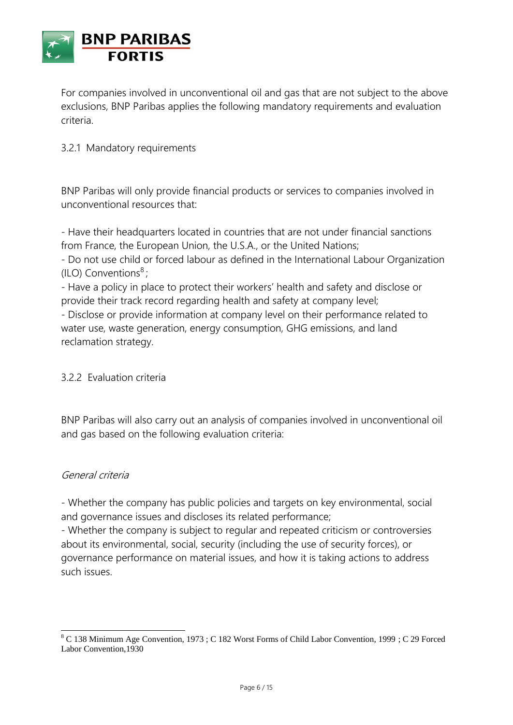

For companies involved in unconventional oil and gas that are not subject to the above exclusions, BNP Paribas applies the following mandatory requirements and evaluation criteria.

#### 3.2.1 Mandatory requirements

BNP Paribas will only provide financial products or services to companies involved in unconventional resources that:

- Have their headquarters located in countries that are not under financial sanctions from France, the European Union, the U.S.A., or the United Nations;

- Do not use child or forced labour as defined in the International Labour Organization (ILO) Conventions $8$ ;

- Have a policy in place to protect their workers' health and safety and disclose or provide their track record regarding health and safety at company level;

- Disclose or provide information at company level on their performance related to water use, waste generation, energy consumption, GHG emissions, and land reclamation strategy.

#### 3.2.2 Evaluation criteria

BNP Paribas will also carry out an analysis of companies involved in unconventional oil and gas based on the following evaluation criteria:

#### General criteria

- Whether the company has public policies and targets on key environmental, social and governance issues and discloses its related performance;

- Whether the company is subject to regular and repeated criticism or controversies about its environmental, social, security (including the use of security forces), or governance performance on material issues, and how it is taking actions to address such issues.

 $\overline{a}$  $8$  C 138 Minimum Age Convention, 1973 ; C 182 Worst Forms of Child Labor Convention, 1999 ; C 29 Forced Labor Convention,1930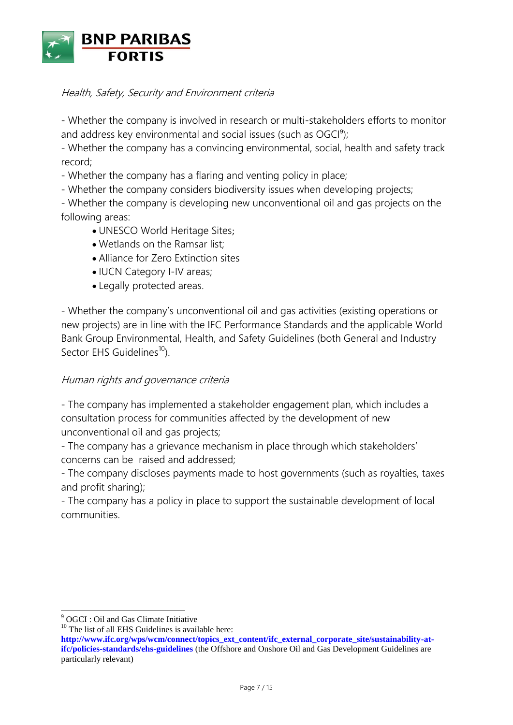

#### Health, Safety, Security and Environment criteria

- Whether the company is involved in research or multi-stakeholders efforts to monitor and address key environmental and social issues (such as OGCI<sup>9</sup>);

- Whether the company has a convincing environmental, social, health and safety track record;

- Whether the company has a flaring and venting policy in place;

- Whether the company considers biodiversity issues when developing projects;

- Whether the company is developing new unconventional oil and gas projects on the following areas:

- UNESCO World Heritage Sites;
- Wetlands on the Ramsar list;
- Alliance for Zero Extinction sites
- IUCN Category I-IV areas;
- Legally protected areas.

- Whether the company's unconventional oil and gas activities (existing operations or new projects) are in line with the IFC Performance Standards and the applicable World Bank Group Environmental, Health, and Safety Guidelines (both General and Industry Sector EHS Guidelines<sup>10</sup>).

#### Human rights and governance criteria

- The company has implemented a stakeholder engagement plan, which includes a consultation process for communities affected by the development of new unconventional oil and gas projects;

- The company has a grievance mechanism in place through which stakeholders' concerns can be raised and addressed;

- The company discloses payments made to host governments (such as royalties, taxes and profit sharing);

- The company has a policy in place to support the sustainable development of local communities.

 $\overline{a}$ 

 $10$  The list of all EHS Guidelines is available here:

<sup>9</sup> OGCI : Oil and Gas Climate Initiative

**[http://www.ifc.org/wps/wcm/connect/topics\\_ext\\_content/ifc\\_external\\_corporate\\_site/sustainability-at](http://www.ifc.org/wps/wcm/connect/topics_ext_content/ifc_external_corporate_site/sustainability-at-ifc/policies-standards/ehs-guidelines)[ifc/policies-standards/ehs-guidelines](http://www.ifc.org/wps/wcm/connect/topics_ext_content/ifc_external_corporate_site/sustainability-at-ifc/policies-standards/ehs-guidelines)** (the Offshore and Onshore Oil and Gas Development Guidelines are particularly relevant)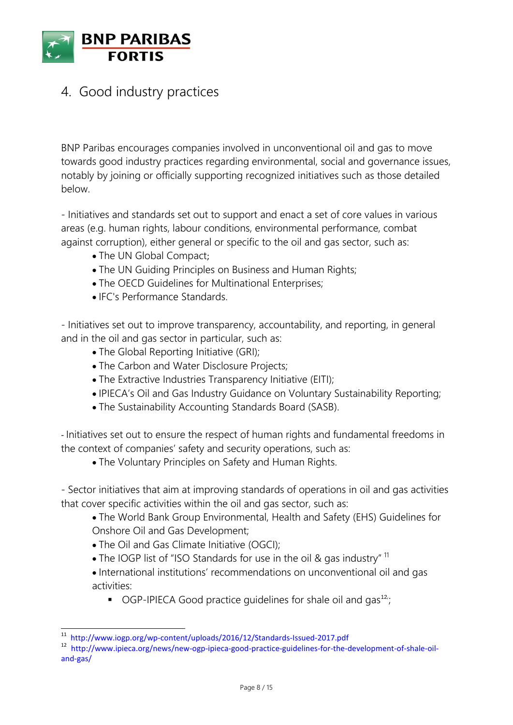

## 4. Good industry practices

BNP Paribas encourages companies involved in unconventional oil and gas to move towards good industry practices regarding environmental, social and governance issues, notably by joining or officially supporting recognized initiatives such as those detailed below.

- Initiatives and standards set out to support and enact a set of core values in various areas (e.g. human rights, labour conditions, environmental performance, combat against corruption), either general or specific to the oil and gas sector, such as:

- The UN Global Compact;
- The UN Guiding Principles on Business and Human Rights;
- The OECD Guidelines for Multinational Enterprises;
- IFC's Performance Standards.

- Initiatives set out to improve transparency, accountability, and reporting, in general and in the oil and gas sector in particular, such as:

- The Global Reporting Initiative (GRI);
- The Carbon and Water Disclosure Projects;
- The Extractive Industries Transparency Initiative (EITI);
- IPIECA's Oil and Gas Industry Guidance on Voluntary Sustainability Reporting;
- The Sustainability Accounting Standards Board (SASB).

- Initiatives set out to ensure the respect of human rights and fundamental freedoms in the context of companies' safety and security operations, such as:

The Voluntary Principles on Safety and Human Rights.

- Sector initiatives that aim at improving standards of operations in oil and gas activities that cover specific activities within the oil and gas sector, such as:

The World Bank Group Environmental, Health and Safety (EHS) Guidelines for Onshore Oil and Gas Development;

• The Oil and Gas Climate Initiative (OGCI);

 $\overline{\phantom{a}}$ 

- The IOGP list of "ISO Standards for use in the oil & gas industry"  $\overline{1}$
- International institutions' recommendations on unconventional oil and gas activities:
	- OGP-IPIECA Good practice guidelines for shale oil and gas<sup>12</sup>;

<sup>&</sup>lt;sup>11</sup> <http://www.iogp.org/wp-content/uploads/2016/12/Standards-Issued-2017.pdf>

<sup>&</sup>lt;sup>12</sup> [http://www.ipieca.org/news/new-ogp-ipieca-good-practice-guidelines-for-the-development-of-shale-oil](http://www.ipieca.org/news/new-ogp-ipieca-good-practice-guidelines-for-the-development-of-shale-oil-and-gas/)[and-gas/](http://www.ipieca.org/news/new-ogp-ipieca-good-practice-guidelines-for-the-development-of-shale-oil-and-gas/)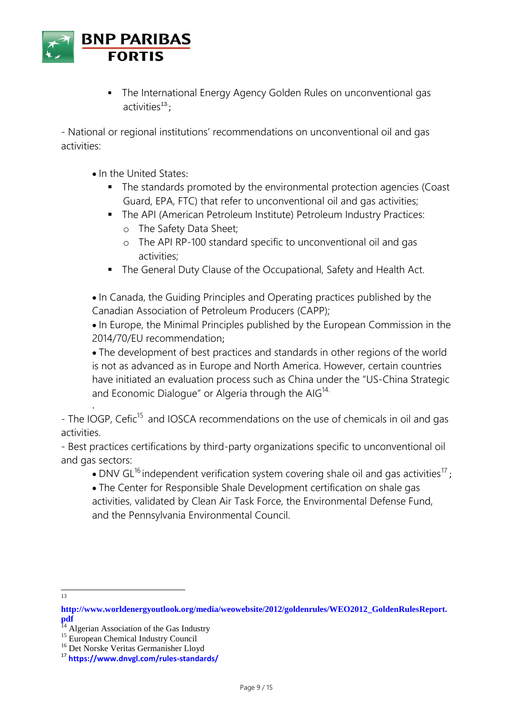

 The International Energy Agency Golden Rules on unconventional gas activities<sup>13</sup>;

- National or regional institutions' recommendations on unconventional oil and gas activities:

- In the United States:
	- The standards promoted by the environmental protection agencies (Coast Guard, EPA, FTC) that refer to unconventional oil and gas activities;
	- The API (American Petroleum Institute) Petroleum Industry Practices:
		- o The Safety Data Sheet;
		- o The API RP-100 standard specific to unconventional oil and gas activities;
	- The General Duty Clause of the Occupational, Safety and Health Act.

• In Canada, the Guiding Principles and Operating practices published by the Canadian Association of Petroleum Producers (CAPP);

• In Europe, the Minimal Principles published by the European Commission in the 2014/70/EU recommendation;

The development of best practices and standards in other regions of the world is not as advanced as in Europe and North America. However, certain countries have initiated an evaluation process such as China under the "US-China Strategic and Economic Dialogue" or Algeria through the  $AIG<sup>14</sup>$ .

- The IOGP, Cefic<sup>15</sup> and IOSCA recommendations on the use of chemicals in oil and gas activities.

- Best practices certifications by third-party organizations specific to unconventional oil and gas sectors:

- DNV GL<sup>16</sup> independent verification system covering shale oil and gas activities<sup>17</sup>;
- The Center for Responsible Shale Development certification on shale gas activities, validated by Clean Air Task Force, the Environmental Defense Fund, and the Pennsylvania Environmental Council.
- 13

.

**[http://www.worldenergyoutlook.org/media/weowebsite/2012/goldenrules/WEO2012\\_GoldenRulesReport.](http://www.worldenergyoutlook.org/media/weowebsite/2012/goldenrules/WEO2012_GoldenRulesReport.pdf) [pdf](http://www.worldenergyoutlook.org/media/weowebsite/2012/goldenrules/WEO2012_GoldenRulesReport.pdf)**

<sup>&</sup>lt;sup>14</sup> Algerian Association of the Gas Industry

<sup>&</sup>lt;sup>15</sup> European Chemical Industry Council

<sup>16</sup> Det Norske Veritas Germanisher Lloyd

<sup>17</sup> **<https://www.dnvgl.com/rules-standards/>**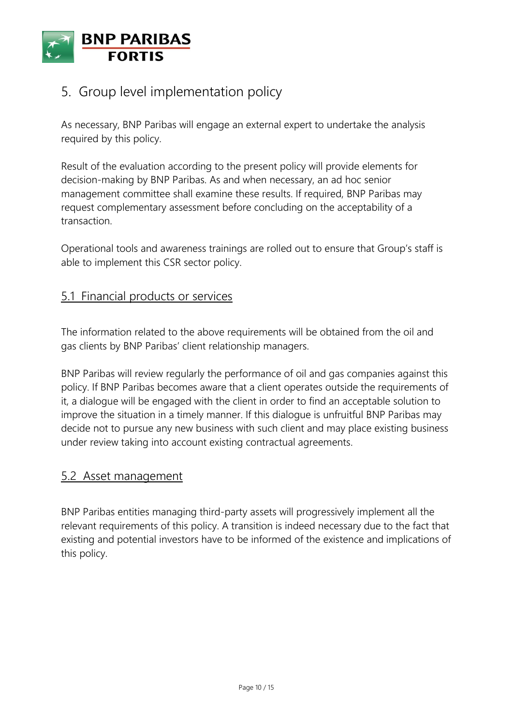

## 5. Group level implementation policy

As necessary, BNP Paribas will engage an external expert to undertake the analysis required by this policy.

Result of the evaluation according to the present policy will provide elements for decision-making by BNP Paribas. As and when necessary, an ad hoc senior management committee shall examine these results. If required, BNP Paribas may request complementary assessment before concluding on the acceptability of a transaction.

Operational tools and awareness trainings are rolled out to ensure that Group's staff is able to implement this CSR sector policy.

### 5.1 Financial products or services

The information related to the above requirements will be obtained from the oil and gas clients by BNP Paribas' client relationship managers.

BNP Paribas will review regularly the performance of oil and gas companies against this policy. If BNP Paribas becomes aware that a client operates outside the requirements of it, a dialogue will be engaged with the client in order to find an acceptable solution to improve the situation in a timely manner. If this dialogue is unfruitful BNP Paribas may decide not to pursue any new business with such client and may place existing business under review taking into account existing contractual agreements.

#### 5.2 Asset management

BNP Paribas entities managing third-party assets will progressively implement all the relevant requirements of this policy. A transition is indeed necessary due to the fact that existing and potential investors have to be informed of the existence and implications of this policy.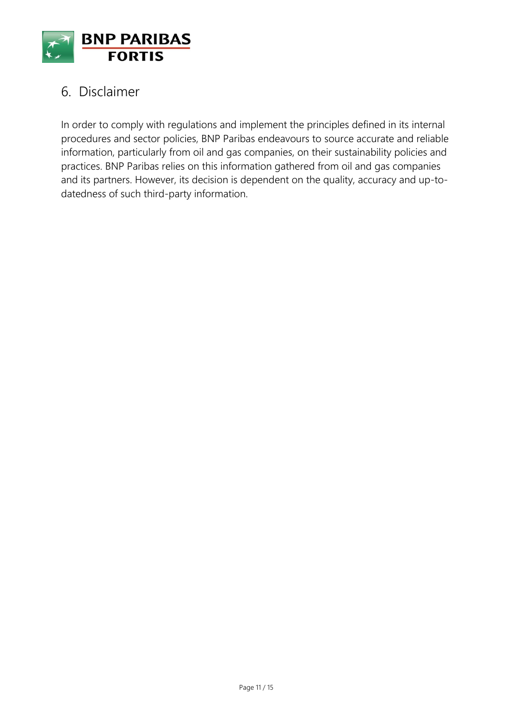

## 6. Disclaimer

In order to comply with regulations and implement the principles defined in its internal procedures and sector policies, BNP Paribas endeavours to source accurate and reliable information, particularly from oil and gas companies, on their sustainability policies and practices. BNP Paribas relies on this information gathered from oil and gas companies and its partners. However, its decision is dependent on the quality, accuracy and up-todatedness of such third-party information.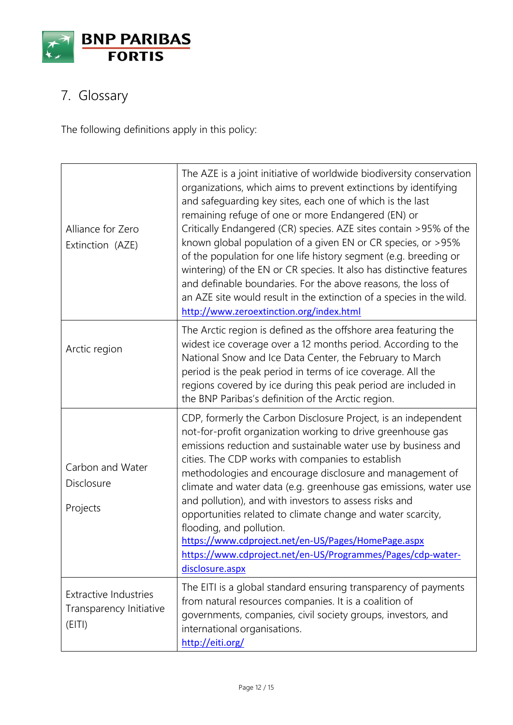

# 7. Glossary

The following definitions apply in this policy:

| Alliance for Zero<br>Extinction (AZE)                             | The AZE is a joint initiative of worldwide biodiversity conservation<br>organizations, which aims to prevent extinctions by identifying<br>and safeguarding key sites, each one of which is the last<br>remaining refuge of one or more Endangered (EN) or<br>Critically Endangered (CR) species. AZE sites contain >95% of the<br>known global population of a given EN or CR species, or >95%<br>of the population for one life history segment (e.g. breeding or<br>wintering) of the EN or CR species. It also has distinctive features<br>and definable boundaries. For the above reasons, the loss of<br>an AZE site would result in the extinction of a species in the wild.<br>http://www.zeroextinction.org/index.html |
|-------------------------------------------------------------------|---------------------------------------------------------------------------------------------------------------------------------------------------------------------------------------------------------------------------------------------------------------------------------------------------------------------------------------------------------------------------------------------------------------------------------------------------------------------------------------------------------------------------------------------------------------------------------------------------------------------------------------------------------------------------------------------------------------------------------|
| Arctic region                                                     | The Arctic region is defined as the offshore area featuring the<br>widest ice coverage over a 12 months period. According to the<br>National Snow and Ice Data Center, the February to March<br>period is the peak period in terms of ice coverage. All the<br>regions covered by ice during this peak period are included in<br>the BNP Paribas's definition of the Arctic region.                                                                                                                                                                                                                                                                                                                                             |
| Carbon and Water<br>Disclosure<br>Projects                        | CDP, formerly the Carbon Disclosure Project, is an independent<br>not-for-profit organization working to drive greenhouse gas<br>emissions reduction and sustainable water use by business and<br>cities. The CDP works with companies to establish<br>methodologies and encourage disclosure and management of<br>climate and water data (e.g. greenhouse gas emissions, water use<br>and pollution), and with investors to assess risks and<br>opportunities related to climate change and water scarcity,<br>flooding, and pollution.<br>https://www.cdproject.net/en-US/Pages/HomePage.aspx<br>https://www.cdproject.net/en-US/Programmes/Pages/cdp-water-<br>disclosure.aspx                                               |
| <b>Extractive Industries</b><br>Transparency Initiative<br>(EITI) | The EITI is a global standard ensuring transparency of payments<br>from natural resources companies. It is a coalition of<br>governments, companies, civil society groups, investors, and<br>international organisations.<br>http://eiti.org/                                                                                                                                                                                                                                                                                                                                                                                                                                                                                   |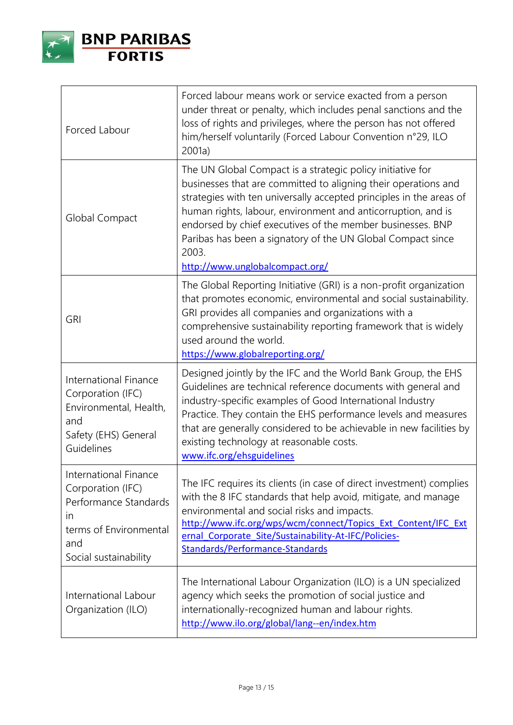

| Forced Labour                                                                                                                       | Forced labour means work or service exacted from a person<br>under threat or penalty, which includes penal sanctions and the<br>loss of rights and privileges, where the person has not offered<br>him/herself voluntarily (Forced Labour Convention n°29, ILO<br>2001a)                                                                                                                                                                     |
|-------------------------------------------------------------------------------------------------------------------------------------|----------------------------------------------------------------------------------------------------------------------------------------------------------------------------------------------------------------------------------------------------------------------------------------------------------------------------------------------------------------------------------------------------------------------------------------------|
| Global Compact                                                                                                                      | The UN Global Compact is a strategic policy initiative for<br>businesses that are committed to aligning their operations and<br>strategies with ten universally accepted principles in the areas of<br>human rights, labour, environment and anticorruption, and is<br>endorsed by chief executives of the member businesses. BNP<br>Paribas has been a signatory of the UN Global Compact since<br>2003.<br>http://www.unglobalcompact.org/ |
| <b>GRI</b>                                                                                                                          | The Global Reporting Initiative (GRI) is a non-profit organization<br>that promotes economic, environmental and social sustainability.<br>GRI provides all companies and organizations with a<br>comprehensive sustainability reporting framework that is widely<br>used around the world.<br>https://www.globalreporting.org/                                                                                                               |
| International Finance<br>Corporation (IFC)<br>Environmental, Health,<br>and<br>Safety (EHS) General<br>Guidelines                   | Designed jointly by the IFC and the World Bank Group, the EHS<br>Guidelines are technical reference documents with general and<br>industry-specific examples of Good International Industry<br>Practice. They contain the EHS performance levels and measures<br>that are generally considered to be achievable in new facilities by<br>existing technology at reasonable costs.<br>www.ifc.org/ehsguidelines                                |
| International Finance<br>Corporation (IFC)<br>Performance Standards<br>in<br>terms of Environmental<br>and<br>Social sustainability | The IFC requires its clients (in case of direct investment) complies<br>with the 8 IFC standards that help avoid, mitigate, and manage<br>environmental and social risks and impacts.<br>http://www.ifc.org/wps/wcm/connect/Topics Ext Content/IFC Ext<br>ernal Corporate Site/Sustainability-At-IFC/Policies-<br>Standards/Performance-Standards                                                                                            |
| International Labour<br>Organization (ILO)                                                                                          | The International Labour Organization (ILO) is a UN specialized<br>agency which seeks the promotion of social justice and<br>internationally-recognized human and labour rights.<br>http://www.ilo.org/global/lang--en/index.htm                                                                                                                                                                                                             |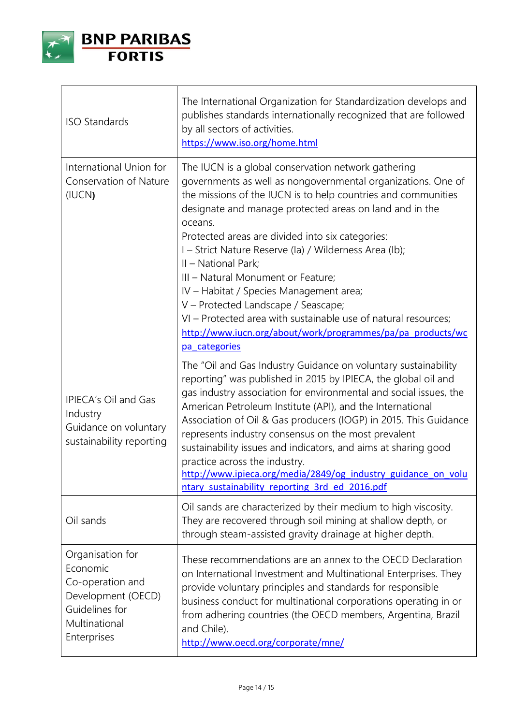

| <b>ISO Standards</b>                                                                                                     | The International Organization for Standardization develops and<br>publishes standards internationally recognized that are followed<br>by all sectors of activities.<br>https://www.iso.org/home.html                                                                                                                                                                                                                                                                                                                                                                                                                                                                     |
|--------------------------------------------------------------------------------------------------------------------------|---------------------------------------------------------------------------------------------------------------------------------------------------------------------------------------------------------------------------------------------------------------------------------------------------------------------------------------------------------------------------------------------------------------------------------------------------------------------------------------------------------------------------------------------------------------------------------------------------------------------------------------------------------------------------|
| International Union for<br><b>Conservation of Nature</b><br>(IUCN)                                                       | The IUCN is a global conservation network gathering<br>governments as well as nongovernmental organizations. One of<br>the missions of the IUCN is to help countries and communities<br>designate and manage protected areas on land and in the<br>oceans.<br>Protected areas are divided into six categories:<br>I – Strict Nature Reserve (la) / Wilderness Area (lb);<br>II - National Park;<br>III - Natural Monument or Feature;<br>IV - Habitat / Species Management area;<br>V - Protected Landscape / Seascape;<br>VI - Protected area with sustainable use of natural resources;<br>http://www.iucn.org/about/work/programmes/pa/pa_products/wc<br>pa categories |
| <b>IPIECA's Oil and Gas</b><br>Industry<br>Guidance on voluntary<br>sustainability reporting                             | The "Oil and Gas Industry Guidance on voluntary sustainability<br>reporting" was published in 2015 by IPIECA, the global oil and<br>gas industry association for environmental and social issues, the<br>American Petroleum Institute (API), and the International<br>Association of Oil & Gas producers (IOGP) in 2015. This Guidance<br>represents industry consensus on the most prevalent<br>sustainability issues and indicators, and aims at sharing good<br>practice across the industry.<br>http://www.ipieca.org/media/2849/og industry guidance on volu<br>ntary sustainability reporting 3rd ed 2016.pdf                                                       |
| Oil sands                                                                                                                | Oil sands are characterized by their medium to high viscosity.<br>They are recovered through soil mining at shallow depth, or<br>through steam-assisted gravity drainage at higher depth.                                                                                                                                                                                                                                                                                                                                                                                                                                                                                 |
| Organisation for<br>Economic<br>Co-operation and<br>Development (OECD)<br>Guidelines for<br>Multinational<br>Enterprises | These recommendations are an annex to the OECD Declaration<br>on International Investment and Multinational Enterprises. They<br>provide voluntary principles and standards for responsible<br>business conduct for multinational corporations operating in or<br>from adhering countries (the OECD members, Argentina, Brazil<br>and Chile).<br>http://www.oecd.org/corporate/mne/                                                                                                                                                                                                                                                                                       |